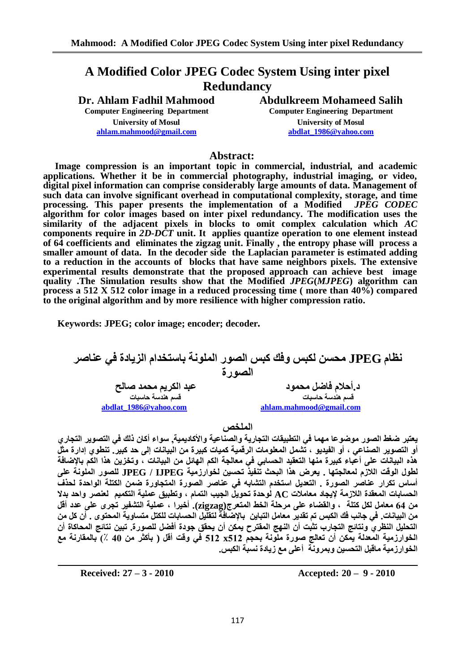# **A Modified Color JPEG Codec System Using inter pixel Redundancy**

**Dr. Ahlam Fadhil Mahmood Abdulkreem Mohameed Salih Computer Engineering Department Computer Engineering Department University of Mosul University of Mosul [ahlam.mahmood@gmail.com](mailto:ahlam.mahmood@gmail.com) [abdlat\\_1986@yahoo.com](mailto:abdlat_1986@yahoo.com)**

# **Abstract:**

 **Image compression is an important topic in commercial, industrial, and academic applications. Whether it be in commercial photography, industrial imaging, or video, digital pixel information can comprise considerably large amounts of data. Management of such data can involve significant overhead in computational complexity, storage, and time processing. This paper presents the implementation of a Modified** *JPEG CODEC* **algorithm for color images based on inter pixel redundancy. The modification uses the similarity of the adjacent pixels in blocks to omit complex calculation which** *AC* **components require in** *2D-DCT* **unit. It applies quantize operation to one element instead of 64 coefficients and eliminates the zigzag unit. Finally , the entropy phase will process a smaller amount of data. In the decoder side the Laplacian parameter is estimated adding to a reduction in the accounts of blocks that have same neighbors pixels. The extensive experimental results demonstrate that the proposed approach can achieve best image quality .The Simulation results show that the Modified** *JPEG***(***MJPEG***) algorithm can process a 512 X 512 color image in a reduced processing time ( more than 40%) compared to the original algorithm and by more resilience with higher compression ratio.** 

**Keywords: JPEG; color image; encoder; decoder***.* 

نظام JPEG محسن لكبس وفك كبس الصور الملونة باستخدام الزيادة في عناصر **الصورة د.أحلام فاضل محمود للنصير ان يسم يسم يسم يس**م يسم عبد انكريم محمد صانح  **قغى ُْذعح زاعثاخ قغى ُْذعح زاعثاخ [abdlat\\_1986@yahoo.com](mailto:abdlat_1986@yahoo.com) [ahlam.mahmood@gmail.com](mailto:ahlam.mahmood@gmail.com)** 

ا**لملخص** ،

يعتبر ضغط الصور موضوعا مهما في التطبيقات التجارية والصناعية والأكاديمية, سواء أكان ذلك في التصوير التجاري أو التصوير الصناعي ، أو الفيديو ، تَشمل المعلومات الرقمية كميات كبيرة من البيانات إلى حد كبير ٍ تنطوي إدارة مثلً هذه البيانات على أعباء كبيرة منها التعقيد الحساب*ى* فى معالجة الكم الهائل من البيانات ، وتخزين هذا الكم بالإضافة **نطٕل انٕقد انالصو نًعاندرٓا . ٚعشض ْزا انثسث ذُفٛز ذسغٍٛ نخٕاسصيٛح IJPEG / JPEG نهصٕس انًهَٕح عهٗ**  أساس تكرار ع**ُناصر الصورة . التعايل استخدم التثبابه في عناصر الصورة المتجاورة ضمن الكتلة الواحدة لح<b>ذف** الحسابات المعقدة اللازمة لايجاد معاملات AC لوحدة تحويل الجيب التمام ، وتطبيق عملية التكميم لع*ن*صر واحد بدلا من 64 معامل لكل كتلة ، والقضاء على مرحلة الخط المتعرج(zigzag). أخيرا ، عملية التشفير تجري على عدد أقل من البيانات. في جانب فك الكبس تم تقدير معامل التباين بالإضافة لتقليل الحسابات للكتل متساوية المحتوى . أن كل من التحليل النظريّ ونتائج التجارب تثبت أن النهج المفترح يمكن أن يحقق جودة أفضل للصورة. تبين نتائج المحاكاة أن الخوارزمية المعدلة يمّكن أن تعالج صورة ملّونة بحجم x512 x512 في وقت أقل ( بأكثر من 40 ٪) بالمقارنة مع الخوارزمية ماقبل التحسين وبمرونـّة أعلى مع زيادة نسبـة الكبس.

**Received: 27 – 3 - 2010 Accepted: 20 – 9 - 2010**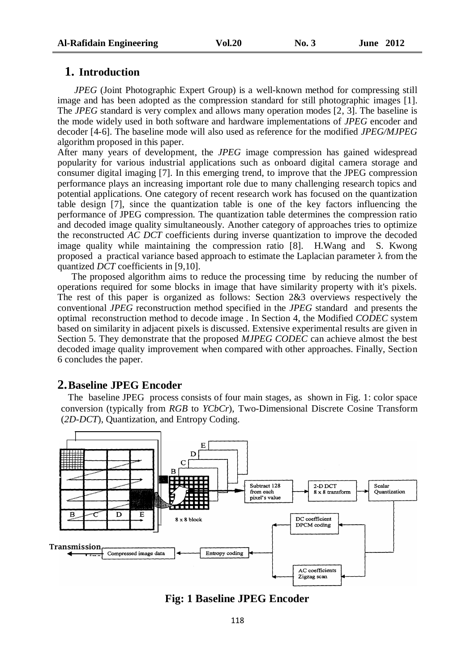# **1. Introduction**

 *JPEG* (Joint Photographic Expert Group) is a well-known method for compressing still image and has been adopted as the compression standard for still photographic images [1]. The *JPEG* standard is very complex and allows many operation modes [2, 3]. The baseline is the mode widely used in both software and hardware implementations of *JPEG* encoder and decoder [4-6]. The baseline mode will also used as reference for the modified *JPEG/MJPEG* algorithm proposed in this paper.

After many years of development, the *JPEG* image compression has gained widespread popularity for various industrial applications such as onboard digital camera storage and consumer digital imaging [7]. In this emerging trend, to improve that the JPEG compression performance plays an increasing important role due to many challenging research topics and potential applications. One category of recent research work has focused on the quantization table design [7], since the quantization table is one of the key factors influencing the performance of JPEG compression. The quantization table determines the compression ratio and decoded image quality simultaneously. Another category of approaches tries to optimize the reconstructed *AC DCT* coefficients during inverse quantization to improve the decoded image quality while maintaining the compression ratio [8]. H.Wang and S. Kwong proposed a practical variance based approach to estimate the Laplacian parameter λ from the quantized *DCT* coefficients in [9,10].

 The proposed algorithm aims to reduce the processing time by reducing the number of operations required for some blocks in image that have similarity property with it's pixels. The rest of this paper is organized as follows: Section 2&3 overviews respectively the conventional *JPEG* reconstruction method specified in the *JPEG* standard and presents the optimal reconstruction method to decode image . In Section 4, the Modified *CODEC* system based on similarity in adjacent pixels is discussed. Extensive experimental results are given in Section 5. They demonstrate that the proposed *MJPEG CODEC* can achieve almost the best decoded image quality improvement when compared with other approaches. Finally, Section 6 concludes the paper.

# **2.Baseline JPEG Encoder**

 The baseline JPEG process consists of four main stages, as shown in Fig. 1: color space conversion (typically from *RGB* to *YCbCr*), Two-Dimensional Discrete Cosine Transform (*2D-DCT*), Quantization, and Entropy Coding.



**Fig: 1 Baseline JPEG Encoder**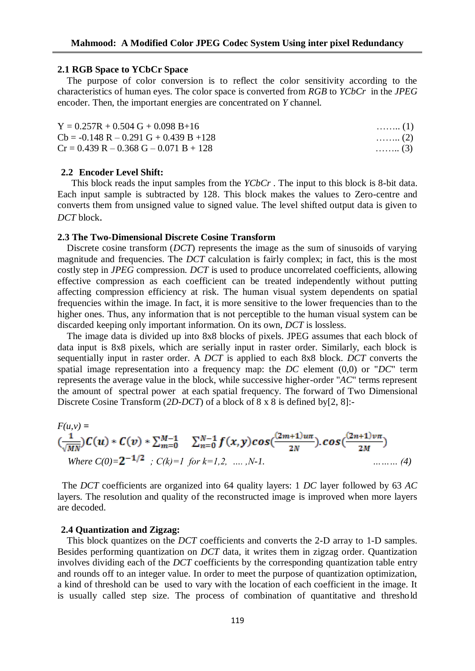#### **2.1 RGB Space to YCbCr Space**

The purpose of color conversion is to reflect the color sensitivity according to the characteristics of human eyes. The color space is converted from *RGB* to *YCbCr* in the *JPEG* encoder. Then, the important energies are concentrated on *Y* channel.

| $Y = 0.257R + 0.504 G + 0.098 B + 16$     | $\ldots$ (1)               |
|-------------------------------------------|----------------------------|
| $Cb = -0.148 R - 0.291 G + 0.439 B + 128$ | $\ldots \ldots \ldots (2)$ |
| $Cr = 0.439 R - 0.368 G - 0.071 B + 128$  | $\ldots \ldots$ (3)        |

#### **2.2 Encoder Level Shift:**

 This block reads the input samples from the *YCbCr* . The input to this block is 8-bit data. Each input sample is subtracted by 128. This block makes the values to Zero-centre and converts them from unsigned value to signed value. The level shifted output data is given to *DCT* block.

#### **2.3 The Two-Dimensional Discrete Cosine Transform**

 Discrete cosine transform (*DCT*) represents the image as the sum of sinusoids of varying magnitude and frequencies. The *DCT* calculation is fairly complex; in fact, this is the most costly step in *JPEG* compression. *DCT* is used to produce uncorrelated coefficients, allowing effective compression as each coefficient can be treated independently without putting affecting compression efficiency at risk. The human visual system dependents on spatial frequencies within the image. In fact, it is more sensitive to the lower frequencies than to the higher ones. Thus, any information that is not perceptible to the human visual system can be discarded keeping only important information. On its own, *DCT* is lossless.

 The image data is divided up into 8x8 blocks of pixels. JPEG assumes that each block of data input is 8x8 pixels, which are serially input in raster order. Similarly, each block is sequentially input in raster order. A *DCT* is applied to each 8x8 block. *DCT* converts the spatial image representation into a frequency map: the *DC* element (0,0) or "*DC*" term represents the average value in the block, while successive higher-order "*AC*" terms represent the amount of spectral power at each spatial frequency. The forward of Two Dimensional Discrete Cosine Transform (*2D-DCT*) of a block of 8 x 8 is defined by[2, 8]:-

$$
F(u, v) =
$$
\n
$$
\left(\frac{1}{\sqrt{MN}}\right)C(u) * C(v) * \sum_{m=0}^{M-1} \sum_{n=0}^{N-1} f(x, y) \cos\left(\frac{(2m+1)u\pi}{2N}\right) \cdot \cos\left(\frac{(2n+1)v\pi}{2M}\right)
$$
\nWhere  $C(0) = 2^{-1/2}$ ,  $C(k) = 1$  for  $k = 1, 2, ..., N-1$ .

 The *DCT* coefficients are organized into 64 quality layers: 1 *DC* layer followed by 63 *AC* layers. The resolution and quality of the reconstructed image is improved when more layers are decoded.

#### **2.4 Quantization and Zigzag:**

This block quantizes on the *DCT* coefficients and converts the 2-D array to 1-D samples. Besides performing quantization on *DCT* data, it writes them in zigzag order. Quantization involves dividing each of the *DCT* coefficients by the corresponding quantization table entry and rounds off to an integer value. In order to meet the purpose of quantization optimization, a kind of threshold can be used to vary with the location of each coefficient in the image. It is usually called step size. The process of combination of quantitative and threshold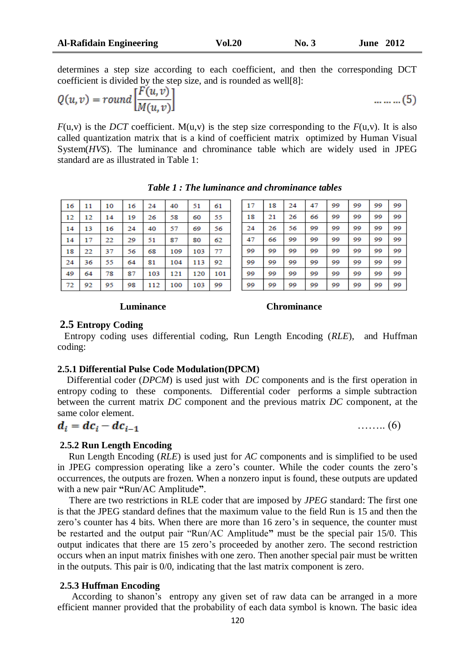…….. (6)

determines a step size according to each coefficient, and then the corresponding DCT coefficient is divided by the step size, and is rounded as well[8]:

$$
Q(u, v) = round \left[ \frac{F(u, v)}{M(u, v)} \right] \tag{5}
$$

 $F(u, v)$  is the *DCT* coefficient. M(u,v) is the step size corresponding to the  $F(u, v)$ . It is also called quantization matrix that is a kind of coefficient matrix optimized by Human Visual System(*HVS*). The luminance and chrominance table which are widely used in JPEG standard are as illustrated in Table 1:

| 16 | 11 | 10 | 16 | 24  | 40  | 51  | 61  |
|----|----|----|----|-----|-----|-----|-----|
| 12 | 12 | 14 | 19 | 26  | 58  | 60  | 55  |
| 14 | 13 | 16 | 24 | 40  | 57  | 69  | 56  |
| 14 | 17 | 22 | 29 | 51  | 87  | 80  | 62  |
| 18 | 22 | 37 | 56 | 68  | 109 | 103 | 77  |
| 24 | 36 | 55 | 64 | 81  | 104 | 113 | 92  |
| 49 | 64 | 78 | 87 | 103 | 121 | 120 | 101 |
| 72 | 92 | 95 | 98 | 112 | 100 | 103 | 99  |

*Table 1 : The luminance and chrominance tables*

| 17 | 18 | 24 | 47 | 99 | 99 | 99 | 99 |
|----|----|----|----|----|----|----|----|
| 18 | 21 | 26 | 66 | 99 | 99 | 99 | 99 |
| 24 | 26 | 56 | 99 | 99 | 99 | 99 | 99 |
| 47 | 66 | 99 | 99 | 99 | 99 | 99 | 99 |
| 99 | 99 | 99 | 99 | 99 | 99 | 99 | 99 |
| 99 | 99 | 99 | 99 | 99 | 99 | 99 | 99 |
| 99 | 99 | 99 | 99 | 99 | 99 | 99 | 99 |
| 99 | 99 | 99 | 99 | 99 | 99 | 99 | 99 |

# **Luminance Chrominance**

# **2.5 Entropy Coding**

 Entropy coding uses differential coding, Run Length Encoding (*RLE*), and Huffman coding:

### **2.5.1 Differential Pulse Code Modulation(DPCM)**

Differential coder (*DPCM*) is used just with *DC* components and is the first operation in entropy coding to these components. Differential coder performs a simple subtraction between the current matrix *DC* component and the previous matrix *DC* component, at the same color element.

$$
d_i = dc_i - dc_{i-1}
$$

#### **2.5.2 Run Length Encoding**

 Run Length Encoding (*RLE*) is used just for *AC* components and is simplified to be used in JPEG compression operating like a zero's counter. While the coder counts the zero's occurrences, the outputs are frozen. When a nonzero input is found, these outputs are updated with a new pair **"**Run/AC Amplitude**"**.

 There are two restrictions in RLE coder that are imposed by *JPEG* standard: The first one is that the JPEG standard defines that the maximum value to the field Run is 15 and then the zero's counter has 4 bits. When there are more than 16 zero's in sequence, the counter must be restarted and the output pair "Run/AC Amplitude**"** must be the special pair 15/0. This output indicates that there are 15 zero's proceeded by another zero. The second restriction occurs when an input matrix finishes with one zero. Then another special pair must be written in the outputs. This pair is 0/0, indicating that the last matrix component is zero.

# **2.5.3 Huffman Encoding**

 According to shanon's entropy any given set of raw data can be arranged in a more efficient manner provided that the probability of each data symbol is known. The basic idea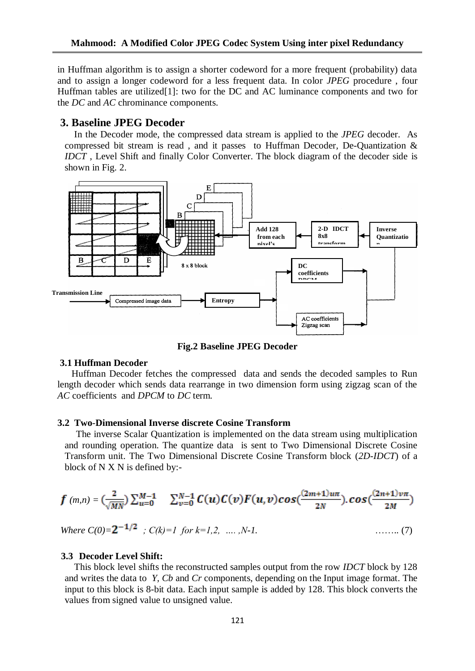in Huffman algorithm is to assign a shorter codeword for a more frequent (probability) data and to assign a longer codeword for a less frequent data. In color *JPEG* procedure , four Huffman tables are utilized[1]: two for the DC and AC luminance components and two for the *DC* and *AC* chrominance components.

# **3. Baseline JPEG Decoder**

 In the Decoder mode, the compressed data stream is applied to the *JPEG* decoder. As compressed bit stream is read , and it passes to Huffman Decoder*,* De-Quantization & *IDCT* , Level Shift and finally Color Converter. The block diagram of the decoder side is shown in Fig. 2.



**Fig.2 Baseline JPEG Decoder**

# **3.1 Huffman Decoder**

 Huffman Decoder fetches the compressed data and sends the decoded samples to Run length decoder which sends data rearrange in two dimension form using zigzag scan of the *AC* coefficients and *DPCM* to *DC* term.

### **3.2 Two**-**Dimensional Inverse discrete Cosine Transform**

 The inverse Scalar Quantization is implemented on the data stream using multiplication and rounding operation. The quantize data is sent to Two Dimensional Discrete Cosine Transform unit. The Two Dimensional Discrete Cosine Transform block (*2D-IDCT*) of a block of N X N is defined by:-

$$
f (m,n) = \left(\frac{2}{\sqrt{MN}}\right) \sum_{u=0}^{M-1} \sum_{v=0}^{N-1} C(u) C(v) F(u,v) \cos\left(\frac{(2m+1)u\pi}{2N}\right) \cos\left(\frac{(2n+1)v\pi}{2M}\right)
$$

Where 
$$
C(0)=2^{-1/2}
$$
 ;  $C(k)=1$  for  $k=1,2, \ldots, N-1$ . (7)

#### **3.3 Decoder Level Shift:**

 This block level shifts the reconstructed samples output from the row *IDCT* block by 128 and writes the data to *Y, Cb* and *Cr* components, depending on the Input image format. The input to this block is 8-bit data. Each input sample is added by 128. This block converts the values from signed value to unsigned value.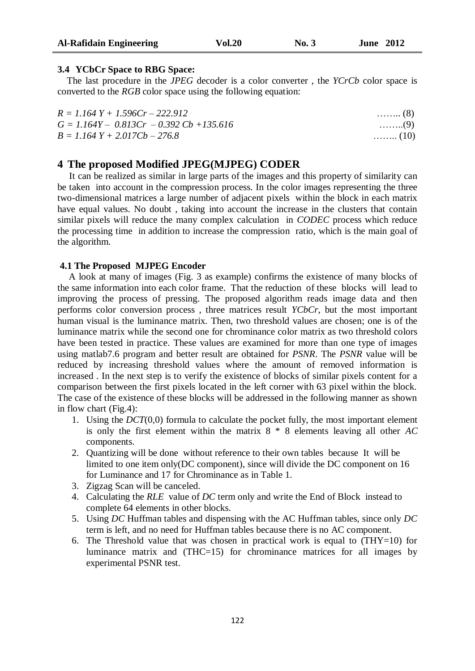# **3.4 YCbCr Space to RBG Space:**

 The last procedure in the *JPEG* decoder is a color converter , the *YCrCb* color space is converted to the *RGB* color space using the following equation:

| $R = 1.164Y + 1.596Cr - 222.912$           | $\ldots \ldots \ldots$ (8) |
|--------------------------------------------|----------------------------|
| $G = 1.164Y - 0.813Cr - 0.392Cb + 135.616$ | $\ldots \ldots \ldots (9)$ |
| $B = 1.164$ Y + 2.017Cb - 276.8            | $\ldots \ldots (10)$       |

# **4 The proposed Modified JPEG(MJPEG) CODER**

 It can be realized as similar in large parts of the images and this property of similarity can be taken into account in the compression process. In the color images representing the three two-dimensional matrices a large number of adjacent pixels within the block in each matrix have equal values. No doubt , taking into account the increase in the clusters that contain similar pixels will reduce the many complex calculation in *CODEC* process which reduce the processing time in addition to increase the compression ratio, which is the main goal of the algorithm.

# **4.1 The Proposed MJPEG Encoder**

 A look at many of images (Fig. 3 as example) confirms the existence of many blocks of the same information into each color frame. That the reduction of these blocks will lead to improving the process of pressing. The proposed algorithm reads image data and then performs color conversion process , three matrices result *YCbCr*, but the most important human visual is the luminance matrix. Then, two threshold values are chosen; one is of the luminance matrix while the second one for chrominance color matrix as two threshold colors have been tested in practice. These values are examined for more than one type of images using matlab7.6 program and better result are obtained for *PSNR*. The *PSNR* value will be reduced by increasing threshold values where the amount of removed information is increased . In the next step is to verify the existence of blocks of similar pixels content for a comparison between the first pixels located in the left corner with 63 pixel within the block. The case of the existence of these blocks will be addressed in the following manner as shown in flow chart (Fig.4):

- 1. Using the *DCT*(0,0) formula to calculate the pocket fully, the most important element is only the first element within the matrix 8 \* 8 elements leaving all other *AC* components.
- 2. Quantizing will be done without reference to their own tables because It will be limited to one item only(DC component), since will divide the DC component on 16 for Luminance and 17 for Chrominance as in Table 1.
- 3. Zigzag Scan will be canceled.
- 4. Calculating the *RLE* value of *DC* term only and write the End of Block instead to complete 64 elements in other blocks.
- 5. Using *DC* Huffman tables and dispensing with the AC Huffman tables, since only *DC* term is left, and no need for Huffman tables because there is no AC component.
- 6. The Threshold value that was chosen in practical work is equal to  $(THY=10)$  for luminance matrix and (THC=15) for chrominance matrices for all images by experimental PSNR test.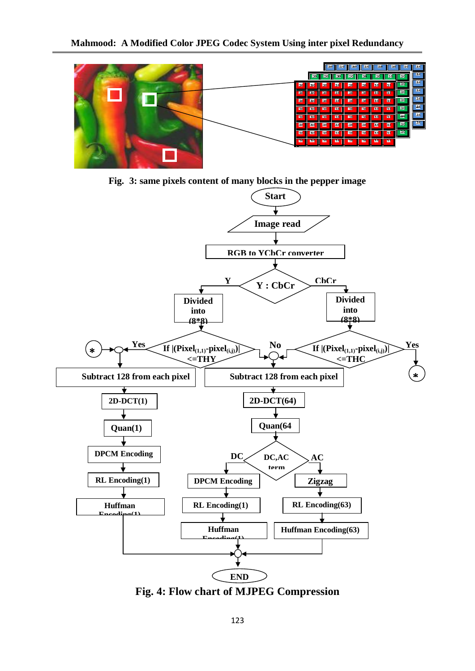

**Fig. 3: same pixels content of many blocks in the pepper image**



**Fig. 4: Flow chart of MJPEG Compression**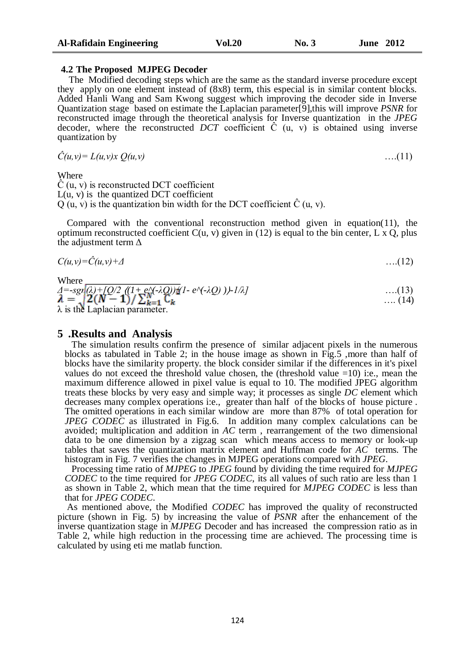#### **4.2 The Proposed MJPEG Decoder**

 The Modified decoding steps which are the same as the standard inverse procedure except they apply on one element instead of (8x8) term, this especial is in similar content blocks. Added Hanli Wang and Sam Kwong suggest which improving the decoder side in Inverse Quantization stage based on estimate the Laplacian parameter[9],this will improve *PSNR* for reconstructed image through the theoretical analysis for Inverse quantization in the *JPEG* decoder, where the reconstructed *DCT* coefficient  $\hat{C}$  (u, v) is obtained using inverse quantization by

$$
\hat{C}(u,v) = L(u,v)x Q(u,v) \tag{11}
$$

Where

Ĉ (u, v) is reconstructed DCT coefficient  $L(u, v)$  is the quantized DCT coefficient  $Q(u, v)$  is the quantization bin width for the DCT coefficient  $\hat{C}(u, v)$ .

 Compared with the conventional reconstruction method given in equation(11), the optimum reconstructed coefficient  $C(u, v)$  given in (12) is equal to the bin center, L x Q, plus the adjustment term  $\Delta$ 

$$
C(u,v) = \hat{C}(u,v) + \Delta \tag{12}
$$

Where

 $\lambda = \frac{Sgr}{2(N-1)/\sum_{k=1}^{N} C_k} \frac{(1+e^{\lambda}(\lambda Q))\lambda}{2(k-1)/\sum_{k=1}^{N} C_k}$  ....(13) ....(13) …. (14)  $\lambda$  is the Laplacian parameter.

# **5 .Results and Analysis**

 The simulation results confirm the presence of similar adjacent pixels in the numerous blocks as tabulated in Table 2; in the house image as shown in Fig.5 ,more than half of blocks have the similarity property. the block consider similar if the differences in it's pixel values do not exceed the threshold value chosen, the (threshold value  $=10$ ) i:e., mean the maximum difference allowed in pixel value is equal to 10. The modified JPEG algorithm treats these blocks by very easy and simple way; it processes as single *DC* element which decreases many complex operations i:e., greater than half of the blocks of house picture . The omitted operations in each similar window are more than 87% of total operation for *JPEG CODEC* as illustrated in Fig.6. In addition many complex calculations can be avoided; multiplication and addition in *AC* term , rearrangement of the two dimensional data to be one dimension by a zigzag scan which means access to memory or look-up tables that saves the quantization matrix element and Huffman code for *AC* terms. The histogram in Fig. 7 verifies the changes in MJPEG operations compared with *JPEG*.

 Processing time ratio of *MJPEG* to *JPEG* found by dividing the time required for *MJPEG CODEC* to the time required for *JPEG CODEC*, its all values of such ratio are less than 1 as shown in Table 2, which mean that the time required for *MJPEG CODEC* is less than that for *JPEG CODEC*.

 As mentioned above, the Modified *CODEC* has improved the quality of reconstructed picture (shown in Fig. 5) by increasing the value of *PSNR* after the enhancement of the inverse quantization stage in *MJPEG* Decoder and has increased the compression ratio as in Table 2, while high reduction in the processing time are achieved. The processing time is calculated by using eti me matlab function.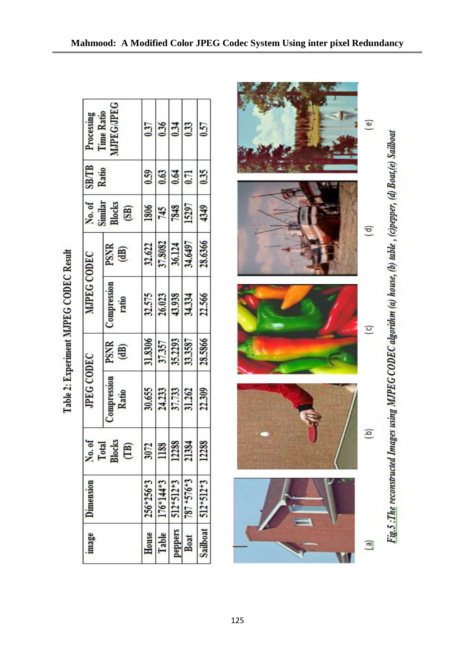| Time Ratio<br>Processing<br><b>SB/TB</b>         | 0.37                  | 0.36           | 0.34        | 0.33            | 0.57        |          |
|--------------------------------------------------|-----------------------|----------------|-------------|-----------------|-------------|----------|
| Ratio                                            |                       | 0.59           | 0.63        | 0.64            | 0.71        | 0.35     |
| No. of<br>Similar                                | <b>Blocks</b><br>(SB) | 1806           | 745         | 7848            | 15297       | 4349     |
| <b>MJPEG CODEC</b>                               | PSNR<br>(dB)          | 32.622         | 37.8082     | 36.124          | 34.6497     | 28.6366  |
|                                                  | Compression<br>ratio  | 32.575         | 26.023      | 43.938          | 34.334      | 22.566   |
| <b>JPEG CODEC</b>                                | PSNR<br>(dB)          | 31.8306        | 37.357      | 35.2293         | 33.3587     | 28.5866  |
|                                                  | Compression<br>Ratio  | 30.655         | 24.233      | 37.733          | 31.262      | 22.309   |
| No. of<br><b>Blocks</b><br>Total<br>$\mathbf{B}$ |                       | $\overline{2}$ | 88          | 288             | 21384       | 288      |
| <b>Umension</b>                                  | $256*3$               | $176*14*3$     | $512*512*3$ | $787 * 576 * 3$ | $512*512*3$ |          |
| mage                                             |                       | House          | Table       | peppers         | Boat        | Sailboat |

Table 2: Experiment MJPEG CODEC Result

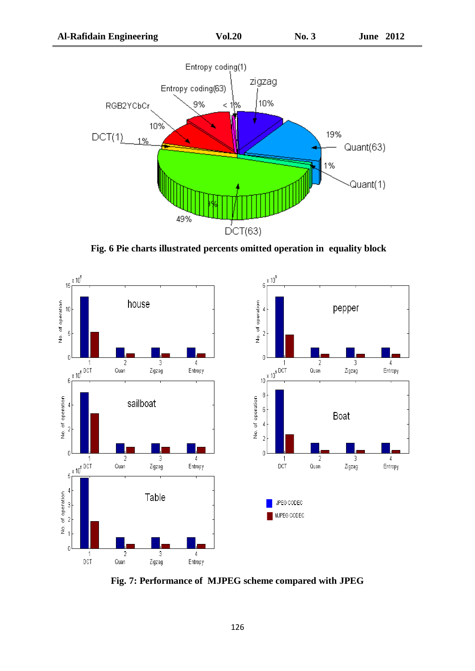

**Fig. 6 Pie charts illustrated percents omitted operation in equality block**



**Fig. 7: Performance of MJPEG scheme compared with JPEG**